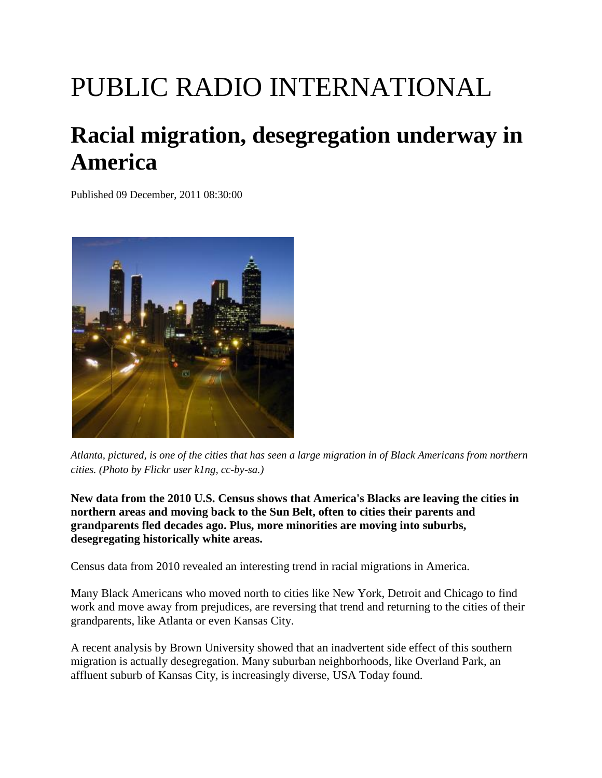## PUBLIC RADIO INTERNATIONAL

## **Racial migration, desegregation underway in America**

Published 09 December, 2011 08:30:00



*Atlanta, pictured, is one of the cities that has seen a large migration in of Black Americans from northern cities. (Photo by Flickr user k1ng, cc-by-sa.)*

**New data from the 2010 U.S. Census shows that America's Blacks are leaving the cities in northern areas and moving back to the Sun Belt, often to cities their parents and grandparents fled decades ago. Plus, more minorities are moving into suburbs, desegregating historically white areas.**

Census data from 2010 revealed an interesting trend in racial migrations in America.

Many Black Americans who moved north to cities like New York, Detroit and Chicago to find work and move away from prejudices, are reversing that trend and returning to the cities of their grandparents, like Atlanta or even Kansas City.

A recent analysis by Brown University showed that an inadvertent side effect of this southern migration is actually desegregation. Many suburban neighborhoods, like Overland Park, an affluent suburb of Kansas City, is increasingly diverse, [USA Today found.](http://www.usatoday.com/news/nation/story/2011-12-06/segregation-kansas-city/51694850/1)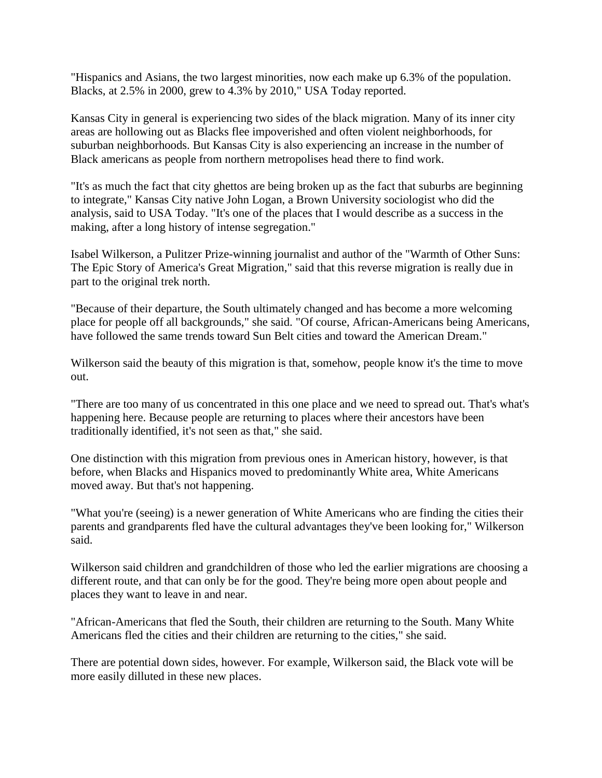"Hispanics and Asians, the two largest minorities, now each make up 6.3% of the population. Blacks, at 2.5% in 2000, grew to 4.3% by 2010," USA Today reported.

Kansas City in general is experiencing two sides of the black migration. Many of its inner city areas are hollowing out as Blacks flee impoverished and often violent neighborhoods, for suburban neighborhoods. But Kansas City is also experiencing an increase in the number of Black americans as people from northern metropolises head there to find work.

"It's as much the fact that city ghettos are being broken up as the fact that suburbs are beginning to integrate," Kansas City native John Logan, a Brown University sociologist who did the analysis, said to USA Today. "It's one of the places that I would describe as a success in the making, after a long history of intense segregation."

Isabel Wilkerson, a Pulitzer Prize-winning journalist and author of the "Warmth of Other Suns: The Epic Story of America's Great Migration," said that this reverse migration is really due in part to the original trek north.

"Because of their departure, the South ultimately changed and has become a more welcoming place for people off all backgrounds," she said. "Of course, African-Americans being Americans, have followed the same trends toward Sun Belt cities and toward the American Dream."

Wilkerson said the beauty of this migration is that, somehow, people know it's the time to move out.

"There are too many of us concentrated in this one place and we need to spread out. That's what's happening here. Because people are returning to places where their ancestors have been traditionally identified, it's not seen as that," she said.

One distinction with this migration from previous ones in American history, however, is that before, when Blacks and Hispanics moved to predominantly White area, White Americans moved away. But that's not happening.

"What you're (seeing) is a newer generation of White Americans who are finding the cities their parents and grandparents fled have the cultural advantages they've been looking for," Wilkerson said.

Wilkerson said children and grandchildren of those who led the earlier migrations are choosing a different route, and that can only be for the good. They're being more open about people and places they want to leave in and near.

"African-Americans that fled the South, their children are returning to the South. Many White Americans fled the cities and their children are returning to the cities," she said.

There are potential down sides, however. For example, Wilkerson said, the Black vote will be more easily dilluted in these new places.